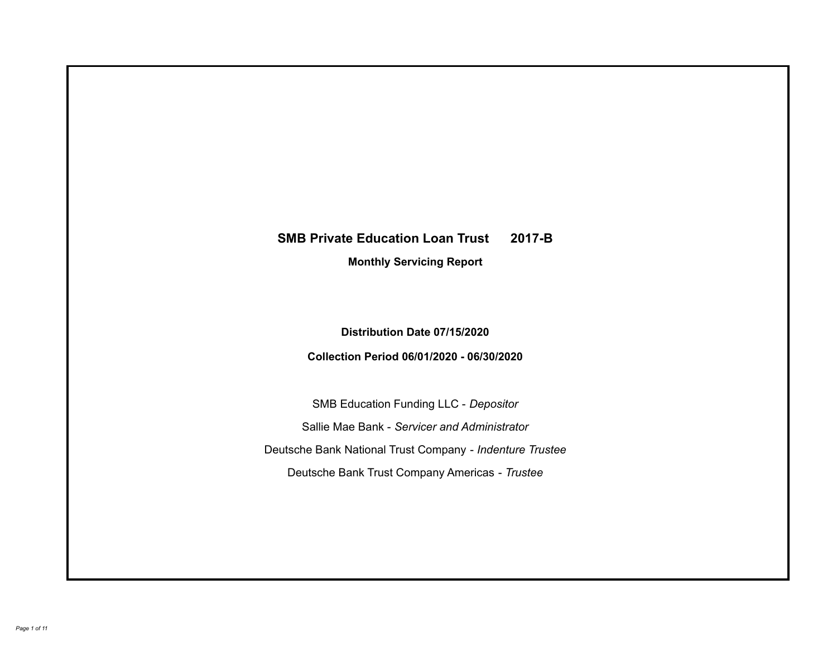# **SMB Private Education Loan Trust 2017-B Monthly Servicing Report**

**Distribution Date 07/15/2020**

**Collection Period 06/01/2020 - 06/30/2020**

SMB Education Funding LLC - *Depositor* Sallie Mae Bank - *Servicer and Administrator* Deutsche Bank National Trust Company - *Indenture Trustee* Deutsche Bank Trust Company Americas - *Trustee*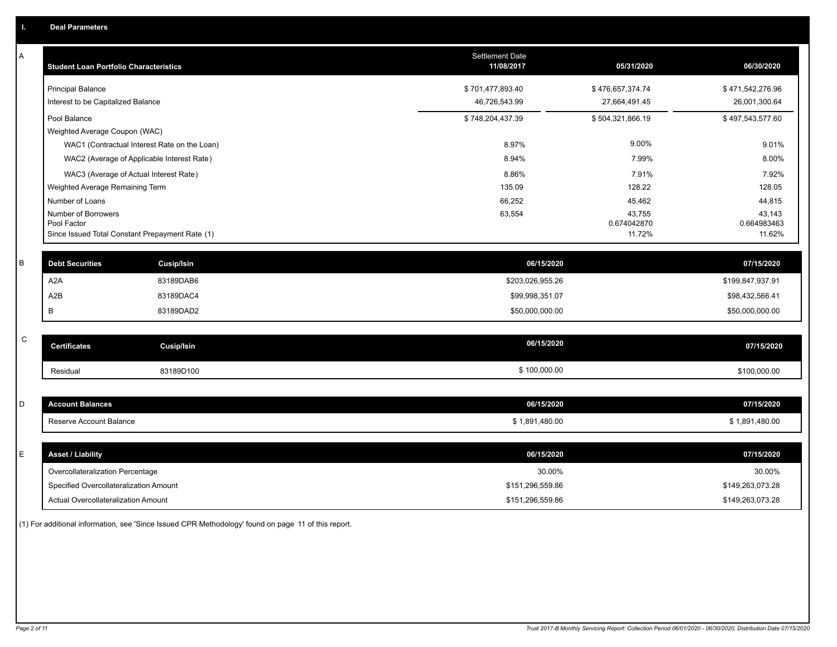| Α | <b>Student Loan Portfolio Characteristics</b>                  | <b>Settlement Date</b><br>11/08/2017 | 05/31/2020            | 06/30/2020            |
|---|----------------------------------------------------------------|--------------------------------------|-----------------------|-----------------------|
|   | <b>Principal Balance</b>                                       | \$701,477,893.40                     | \$476,657,374.74      | \$471,542,276.96      |
|   | Interest to be Capitalized Balance                             | 46,726,543.99                        | 27,664,491.45         | 26,001,300.64         |
|   | Pool Balance                                                   | \$748,204,437.39                     | \$504,321,866.19      | \$497,543,577.60      |
|   | Weighted Average Coupon (WAC)                                  |                                      |                       |                       |
|   | WAC1 (Contractual Interest Rate on the Loan)                   | 8.97%                                | 9.00%                 | 9.01%                 |
|   | WAC2 (Average of Applicable Interest Rate)                     | 8.94%                                | 7.99%                 | 8.00%                 |
|   | WAC3 (Average of Actual Interest Rate)                         | 8.86%                                | 7.91%                 | 7.92%                 |
|   | Weighted Average Remaining Term                                | 135.09                               | 128.22                | 128.05                |
|   | Number of Loans                                                | 66,252                               | 45,462                | 44,815                |
|   | Number of Borrowers                                            | 63,554                               | 43,755                | 43,143                |
|   | Pool Factor<br>Since Issued Total Constant Prepayment Rate (1) |                                      | 0.674042870<br>11.72% | 0.664983463<br>11.62% |
|   |                                                                |                                      |                       |                       |
| B | <b>Debt Securities</b><br><b>Cusip/Isin</b>                    | 06/15/2020                           |                       | 07/15/2020            |
|   | A <sub>2</sub> A<br>83189DAB6                                  | \$203,026,955.26                     |                       | \$199,847,937.91      |
|   | A <sub>2</sub> B<br>83189DAC4                                  | \$99,998,351.07                      |                       | \$98,432,566.41       |
|   | B<br>83189DAD2                                                 | \$50,000,000.00                      |                       | \$50,000,000.00       |
|   |                                                                |                                      |                       |                       |
| C | <b>Certificates</b><br>Cusip/Isin                              | 06/15/2020                           |                       | 07/15/2020            |
|   | 83189D100<br>Residual                                          | \$100,000.00                         |                       | \$100,000.00          |
|   |                                                                |                                      |                       |                       |
| D | <b>Account Balances</b>                                        | 06/15/2020                           |                       | 07/15/2020            |
|   | Reserve Account Balance                                        | \$1,891,480.00                       |                       | \$1,891,480.00        |
|   |                                                                |                                      |                       |                       |
| E | <b>Asset / Liability</b>                                       | 06/15/2020                           |                       | 07/15/2020            |
|   | Overcollateralization Percentage                               | 30.00%                               |                       | 30.00%                |
|   | Specified Overcollateralization Amount                         | \$151,296,559.86                     |                       | \$149,263,073.28      |
|   | Actual Overcollateralization Amount                            | \$151,296,559.86                     |                       | \$149,263,073.28      |

(1) For additional information, see 'Since Issued CPR Methodology' found on page 11 of this report.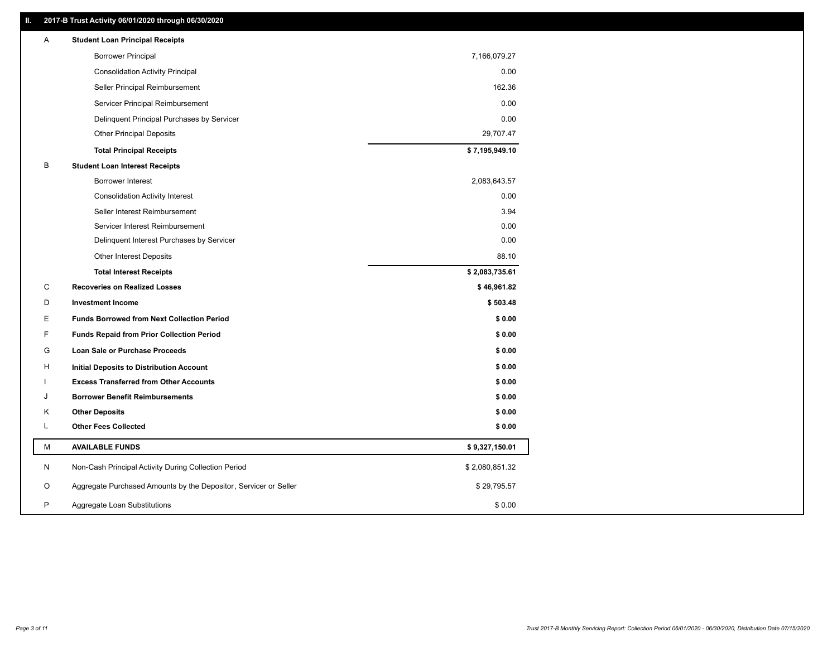# **II. 2017-B Trust Activity 06/01/2020 through 06/30/2020**

| <b>Borrower Principal</b><br>7,166,079.27<br><b>Consolidation Activity Principal</b><br>0.00<br>162.36<br>Seller Principal Reimbursement<br>0.00<br>Servicer Principal Reimbursement<br>0.00<br>Delinquent Principal Purchases by Servicer<br>29,707.47<br><b>Other Principal Deposits</b><br>\$7,195,949.10<br><b>Total Principal Receipts</b><br>в<br><b>Student Loan Interest Receipts</b><br>Borrower Interest<br>2,083,643.57<br>0.00<br><b>Consolidation Activity Interest</b><br>Seller Interest Reimbursement<br>3.94<br>0.00<br>Servicer Interest Reimbursement<br>0.00<br>Delinquent Interest Purchases by Servicer<br>88.10<br>Other Interest Deposits<br>\$2,083,735.61<br><b>Total Interest Receipts</b><br>C<br>\$46,961.82<br><b>Recoveries on Realized Losses</b><br>\$503.48<br>D<br><b>Investment Income</b><br>\$0.00<br>Е<br><b>Funds Borrowed from Next Collection Period</b><br>F<br>\$0.00<br><b>Funds Repaid from Prior Collection Period</b><br>G<br>\$0.00<br><b>Loan Sale or Purchase Proceeds</b><br>\$0.00<br>н<br>Initial Deposits to Distribution Account<br>\$0.00<br><b>Excess Transferred from Other Accounts</b><br><b>Borrower Benefit Reimbursements</b><br>\$0.00<br>J<br><b>Other Deposits</b><br>\$0.00<br>Κ<br><b>Other Fees Collected</b><br>L<br>\$0.00<br>М<br><b>AVAILABLE FUNDS</b><br>\$9,327,150.01<br>N<br>Non-Cash Principal Activity During Collection Period<br>\$2,080,851.32<br>O<br>Aggregate Purchased Amounts by the Depositor, Servicer or Seller<br>\$29,795.57<br>P<br>Aggregate Loan Substitutions<br>\$0.00 | A | <b>Student Loan Principal Receipts</b> |  |
|---------------------------------------------------------------------------------------------------------------------------------------------------------------------------------------------------------------------------------------------------------------------------------------------------------------------------------------------------------------------------------------------------------------------------------------------------------------------------------------------------------------------------------------------------------------------------------------------------------------------------------------------------------------------------------------------------------------------------------------------------------------------------------------------------------------------------------------------------------------------------------------------------------------------------------------------------------------------------------------------------------------------------------------------------------------------------------------------------------------------------------------------------------------------------------------------------------------------------------------------------------------------------------------------------------------------------------------------------------------------------------------------------------------------------------------------------------------------------------------------------------------------------------------------------------------------------|---|----------------------------------------|--|
|                                                                                                                                                                                                                                                                                                                                                                                                                                                                                                                                                                                                                                                                                                                                                                                                                                                                                                                                                                                                                                                                                                                                                                                                                                                                                                                                                                                                                                                                                                                                                                           |   |                                        |  |
|                                                                                                                                                                                                                                                                                                                                                                                                                                                                                                                                                                                                                                                                                                                                                                                                                                                                                                                                                                                                                                                                                                                                                                                                                                                                                                                                                                                                                                                                                                                                                                           |   |                                        |  |
|                                                                                                                                                                                                                                                                                                                                                                                                                                                                                                                                                                                                                                                                                                                                                                                                                                                                                                                                                                                                                                                                                                                                                                                                                                                                                                                                                                                                                                                                                                                                                                           |   |                                        |  |
|                                                                                                                                                                                                                                                                                                                                                                                                                                                                                                                                                                                                                                                                                                                                                                                                                                                                                                                                                                                                                                                                                                                                                                                                                                                                                                                                                                                                                                                                                                                                                                           |   |                                        |  |
|                                                                                                                                                                                                                                                                                                                                                                                                                                                                                                                                                                                                                                                                                                                                                                                                                                                                                                                                                                                                                                                                                                                                                                                                                                                                                                                                                                                                                                                                                                                                                                           |   |                                        |  |
|                                                                                                                                                                                                                                                                                                                                                                                                                                                                                                                                                                                                                                                                                                                                                                                                                                                                                                                                                                                                                                                                                                                                                                                                                                                                                                                                                                                                                                                                                                                                                                           |   |                                        |  |
|                                                                                                                                                                                                                                                                                                                                                                                                                                                                                                                                                                                                                                                                                                                                                                                                                                                                                                                                                                                                                                                                                                                                                                                                                                                                                                                                                                                                                                                                                                                                                                           |   |                                        |  |
|                                                                                                                                                                                                                                                                                                                                                                                                                                                                                                                                                                                                                                                                                                                                                                                                                                                                                                                                                                                                                                                                                                                                                                                                                                                                                                                                                                                                                                                                                                                                                                           |   |                                        |  |
|                                                                                                                                                                                                                                                                                                                                                                                                                                                                                                                                                                                                                                                                                                                                                                                                                                                                                                                                                                                                                                                                                                                                                                                                                                                                                                                                                                                                                                                                                                                                                                           |   |                                        |  |
|                                                                                                                                                                                                                                                                                                                                                                                                                                                                                                                                                                                                                                                                                                                                                                                                                                                                                                                                                                                                                                                                                                                                                                                                                                                                                                                                                                                                                                                                                                                                                                           |   |                                        |  |
|                                                                                                                                                                                                                                                                                                                                                                                                                                                                                                                                                                                                                                                                                                                                                                                                                                                                                                                                                                                                                                                                                                                                                                                                                                                                                                                                                                                                                                                                                                                                                                           |   |                                        |  |
|                                                                                                                                                                                                                                                                                                                                                                                                                                                                                                                                                                                                                                                                                                                                                                                                                                                                                                                                                                                                                                                                                                                                                                                                                                                                                                                                                                                                                                                                                                                                                                           |   |                                        |  |
|                                                                                                                                                                                                                                                                                                                                                                                                                                                                                                                                                                                                                                                                                                                                                                                                                                                                                                                                                                                                                                                                                                                                                                                                                                                                                                                                                                                                                                                                                                                                                                           |   |                                        |  |
|                                                                                                                                                                                                                                                                                                                                                                                                                                                                                                                                                                                                                                                                                                                                                                                                                                                                                                                                                                                                                                                                                                                                                                                                                                                                                                                                                                                                                                                                                                                                                                           |   |                                        |  |
|                                                                                                                                                                                                                                                                                                                                                                                                                                                                                                                                                                                                                                                                                                                                                                                                                                                                                                                                                                                                                                                                                                                                                                                                                                                                                                                                                                                                                                                                                                                                                                           |   |                                        |  |
|                                                                                                                                                                                                                                                                                                                                                                                                                                                                                                                                                                                                                                                                                                                                                                                                                                                                                                                                                                                                                                                                                                                                                                                                                                                                                                                                                                                                                                                                                                                                                                           |   |                                        |  |
|                                                                                                                                                                                                                                                                                                                                                                                                                                                                                                                                                                                                                                                                                                                                                                                                                                                                                                                                                                                                                                                                                                                                                                                                                                                                                                                                                                                                                                                                                                                                                                           |   |                                        |  |
|                                                                                                                                                                                                                                                                                                                                                                                                                                                                                                                                                                                                                                                                                                                                                                                                                                                                                                                                                                                                                                                                                                                                                                                                                                                                                                                                                                                                                                                                                                                                                                           |   |                                        |  |
|                                                                                                                                                                                                                                                                                                                                                                                                                                                                                                                                                                                                                                                                                                                                                                                                                                                                                                                                                                                                                                                                                                                                                                                                                                                                                                                                                                                                                                                                                                                                                                           |   |                                        |  |
|                                                                                                                                                                                                                                                                                                                                                                                                                                                                                                                                                                                                                                                                                                                                                                                                                                                                                                                                                                                                                                                                                                                                                                                                                                                                                                                                                                                                                                                                                                                                                                           |   |                                        |  |
|                                                                                                                                                                                                                                                                                                                                                                                                                                                                                                                                                                                                                                                                                                                                                                                                                                                                                                                                                                                                                                                                                                                                                                                                                                                                                                                                                                                                                                                                                                                                                                           |   |                                        |  |
|                                                                                                                                                                                                                                                                                                                                                                                                                                                                                                                                                                                                                                                                                                                                                                                                                                                                                                                                                                                                                                                                                                                                                                                                                                                                                                                                                                                                                                                                                                                                                                           |   |                                        |  |
|                                                                                                                                                                                                                                                                                                                                                                                                                                                                                                                                                                                                                                                                                                                                                                                                                                                                                                                                                                                                                                                                                                                                                                                                                                                                                                                                                                                                                                                                                                                                                                           |   |                                        |  |
|                                                                                                                                                                                                                                                                                                                                                                                                                                                                                                                                                                                                                                                                                                                                                                                                                                                                                                                                                                                                                                                                                                                                                                                                                                                                                                                                                                                                                                                                                                                                                                           |   |                                        |  |
|                                                                                                                                                                                                                                                                                                                                                                                                                                                                                                                                                                                                                                                                                                                                                                                                                                                                                                                                                                                                                                                                                                                                                                                                                                                                                                                                                                                                                                                                                                                                                                           |   |                                        |  |
|                                                                                                                                                                                                                                                                                                                                                                                                                                                                                                                                                                                                                                                                                                                                                                                                                                                                                                                                                                                                                                                                                                                                                                                                                                                                                                                                                                                                                                                                                                                                                                           |   |                                        |  |
|                                                                                                                                                                                                                                                                                                                                                                                                                                                                                                                                                                                                                                                                                                                                                                                                                                                                                                                                                                                                                                                                                                                                                                                                                                                                                                                                                                                                                                                                                                                                                                           |   |                                        |  |
|                                                                                                                                                                                                                                                                                                                                                                                                                                                                                                                                                                                                                                                                                                                                                                                                                                                                                                                                                                                                                                                                                                                                                                                                                                                                                                                                                                                                                                                                                                                                                                           |   |                                        |  |
|                                                                                                                                                                                                                                                                                                                                                                                                                                                                                                                                                                                                                                                                                                                                                                                                                                                                                                                                                                                                                                                                                                                                                                                                                                                                                                                                                                                                                                                                                                                                                                           |   |                                        |  |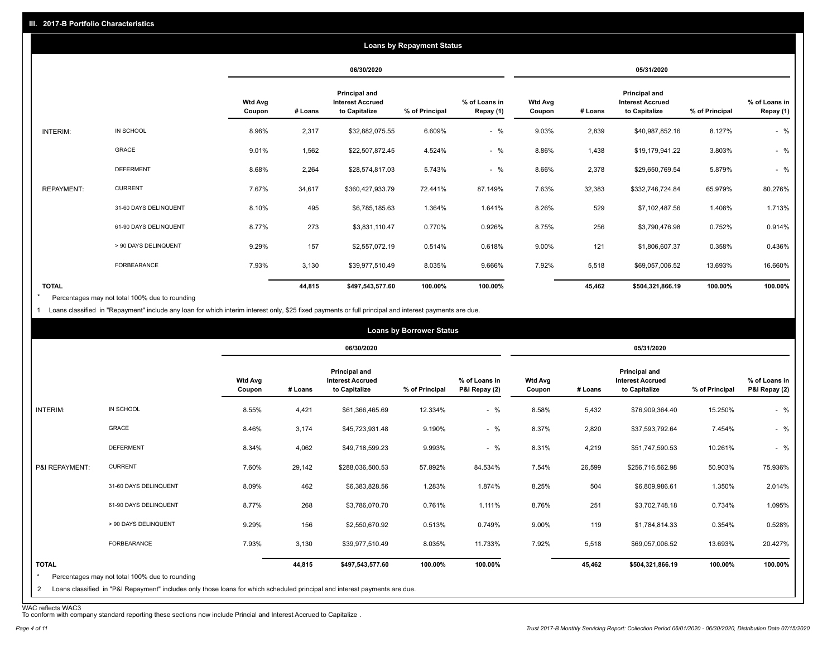|                   |                       |                          |         |                                                                  | <b>Loans by Repayment Status</b> |                            |                          |         |                                                           |                |                            |
|-------------------|-----------------------|--------------------------|---------|------------------------------------------------------------------|----------------------------------|----------------------------|--------------------------|---------|-----------------------------------------------------------|----------------|----------------------------|
|                   |                       |                          |         | 06/30/2020                                                       |                                  |                            | 05/31/2020               |         |                                                           |                |                            |
|                   |                       | <b>Wtd Avg</b><br>Coupon | # Loans | <b>Principal and</b><br><b>Interest Accrued</b><br>to Capitalize | % of Principal                   | % of Loans in<br>Repay (1) | <b>Wtd Avg</b><br>Coupon | # Loans | Principal and<br><b>Interest Accrued</b><br>to Capitalize | % of Principal | % of Loans in<br>Repay (1) |
| INTERIM:          | IN SCHOOL             | 8.96%                    | 2,317   | \$32,882,075.55                                                  | 6.609%                           | $-$ %                      | 9.03%                    | 2,839   | \$40,987,852.16                                           | 8.127%         | $-$ %                      |
|                   | GRACE                 | 9.01%                    | 1,562   | \$22,507,872.45                                                  | 4.524%                           | $-$ %                      | 8.86%                    | 1,438   | \$19,179,941.22                                           | 3.803%         | $-$ %                      |
|                   | <b>DEFERMENT</b>      | 8.68%                    | 2,264   | \$28,574,817.03                                                  | 5.743%                           | $-$ %                      | 8.66%                    | 2,378   | \$29,650,769.54                                           | 5.879%         | $-$ %                      |
| <b>REPAYMENT:</b> | <b>CURRENT</b>        | 7.67%                    | 34,617  | \$360,427,933.79                                                 | 72.441%                          | 87.149%                    | 7.63%                    | 32,383  | \$332,746,724.84                                          | 65.979%        | 80.276%                    |
|                   | 31-60 DAYS DELINQUENT | 8.10%                    | 495     | \$6,785,185.63                                                   | 1.364%                           | 1.641%                     | 8.26%                    | 529     | \$7,102,487.56                                            | 1.408%         | 1.713%                     |
|                   | 61-90 DAYS DELINQUENT | 8.77%                    | 273     | \$3,831,110.47                                                   | 0.770%                           | 0.926%                     | 8.75%                    | 256     | \$3,790,476.98                                            | 0.752%         | 0.914%                     |
|                   | > 90 DAYS DELINQUENT  | 9.29%                    | 157     | \$2,557,072.19                                                   | 0.514%                           | 0.618%                     | 9.00%                    | 121     | \$1,806,607.37                                            | 0.358%         | 0.436%                     |
|                   | FORBEARANCE           | 7.93%                    | 3,130   | \$39,977,510.49                                                  | 8.035%                           | 9.666%                     | 7.92%                    | 5,518   | \$69,057,006.52                                           | 13.693%        | 16.660%                    |
| <b>TOTAL</b>      |                       |                          | 44,815  | \$497,543,577.60                                                 | 100.00%                          | 100.00%                    |                          | 45,462  | \$504,321,866.19                                          | 100.00%        | 100.00%                    |

Percentages may not total 100% due to rounding \*

1 Loans classified in "Repayment" include any loan for which interim interest only, \$25 fixed payments or full principal and interest payments are due.

|                              |                                                                                                                                                                              |                          |         |                                                                  | <b>Loans by Borrower Status</b> |                                |                          |         |                                                                  |                |                                |
|------------------------------|------------------------------------------------------------------------------------------------------------------------------------------------------------------------------|--------------------------|---------|------------------------------------------------------------------|---------------------------------|--------------------------------|--------------------------|---------|------------------------------------------------------------------|----------------|--------------------------------|
|                              |                                                                                                                                                                              |                          |         | 06/30/2020                                                       |                                 |                                | 05/31/2020               |         |                                                                  |                |                                |
|                              |                                                                                                                                                                              | <b>Wtd Avg</b><br>Coupon | # Loans | <b>Principal and</b><br><b>Interest Accrued</b><br>to Capitalize | % of Principal                  | % of Loans in<br>P&I Repay (2) | <b>Wtd Avg</b><br>Coupon | # Loans | <b>Principal and</b><br><b>Interest Accrued</b><br>to Capitalize | % of Principal | % of Loans in<br>P&I Repay (2) |
| INTERIM:                     | IN SCHOOL                                                                                                                                                                    | 8.55%                    | 4,421   | \$61,366,465.69                                                  | 12.334%                         | $-$ %                          | 8.58%                    | 5,432   | \$76,909,364.40                                                  | 15.250%        | $-$ %                          |
|                              | GRACE                                                                                                                                                                        | 8.46%                    | 3,174   | \$45,723,931.48                                                  | 9.190%                          | $-$ %                          | 8.37%                    | 2,820   | \$37,593,792.64                                                  | 7.454%         | $-$ %                          |
|                              | <b>DEFERMENT</b>                                                                                                                                                             | 8.34%                    | 4,062   | \$49,718,599.23                                                  | 9.993%                          | $-$ %                          | 8.31%                    | 4,219   | \$51,747,590.53                                                  | 10.261%        | $-$ %                          |
| P&I REPAYMENT:               | <b>CURRENT</b>                                                                                                                                                               | 7.60%                    | 29,142  | \$288,036,500.53                                                 | 57.892%                         | 84.534%                        | 7.54%                    | 26,599  | \$256,716,562.98                                                 | 50.903%        | 75.936%                        |
|                              | 31-60 DAYS DELINQUENT                                                                                                                                                        | 8.09%                    | 462     | \$6,383,828.56                                                   | 1.283%                          | 1.874%                         | 8.25%                    | 504     | \$6,809,986.61                                                   | 1.350%         | 2.014%                         |
|                              | 61-90 DAYS DELINQUENT                                                                                                                                                        | 8.77%                    | 268     | \$3,786,070.70                                                   | 0.761%                          | 1.111%                         | 8.76%                    | 251     | \$3,702,748.18                                                   | 0.734%         | 1.095%                         |
|                              | > 90 DAYS DELINQUENT                                                                                                                                                         | 9.29%                    | 156     | \$2,550,670.92                                                   | 0.513%                          | 0.749%                         | 9.00%                    | 119     | \$1,784,814.33                                                   | 0.354%         | 0.528%                         |
|                              | FORBEARANCE                                                                                                                                                                  | 7.93%                    | 3,130   | \$39,977,510.49                                                  | 8.035%                          | 11.733%                        | 7.92%                    | 5,518   | \$69,057,006.52                                                  | 13.693%        | 20.427%                        |
| <b>TOTAL</b><br>$\star$<br>2 | Percentages may not total 100% due to rounding<br>Loans classified in "P&I Repayment" includes only those loans for which scheduled principal and interest payments are due. |                          | 44,815  | \$497,543,577.60                                                 | 100.00%                         | 100.00%                        |                          | 45,462  | \$504,321,866.19                                                 | 100.00%        | 100.00%                        |

WAC reflects WAC3 To conform with company standard reporting these sections now include Princial and Interest Accrued to Capitalize .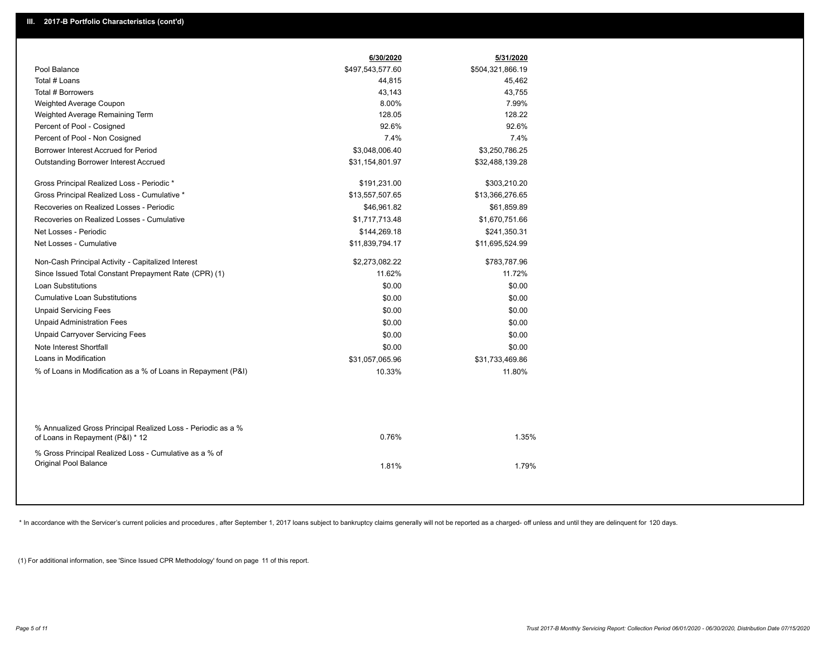|                                                                                                  | 6/30/2020        | 5/31/2020        |  |
|--------------------------------------------------------------------------------------------------|------------------|------------------|--|
| Pool Balance                                                                                     | \$497,543,577.60 | \$504,321,866.19 |  |
| Total # Loans                                                                                    | 44,815           | 45,462           |  |
| Total # Borrowers                                                                                | 43,143           | 43,755           |  |
| Weighted Average Coupon                                                                          | 8.00%            | 7.99%            |  |
| Weighted Average Remaining Term                                                                  | 128.05           | 128.22           |  |
| Percent of Pool - Cosigned                                                                       | 92.6%            | 92.6%            |  |
| Percent of Pool - Non Cosigned                                                                   | 7.4%             | 7.4%             |  |
| Borrower Interest Accrued for Period                                                             | \$3,048,006.40   | \$3,250,786.25   |  |
| <b>Outstanding Borrower Interest Accrued</b>                                                     | \$31,154,801.97  | \$32,488,139.28  |  |
| Gross Principal Realized Loss - Periodic *                                                       | \$191,231.00     | \$303,210.20     |  |
| Gross Principal Realized Loss - Cumulative *                                                     | \$13,557,507.65  | \$13,366,276.65  |  |
| Recoveries on Realized Losses - Periodic                                                         | \$46,961.82      | \$61,859.89      |  |
| Recoveries on Realized Losses - Cumulative                                                       | \$1,717,713.48   | \$1,670,751.66   |  |
| Net Losses - Periodic                                                                            | \$144,269.18     | \$241,350.31     |  |
| Net Losses - Cumulative                                                                          | \$11,839,794.17  | \$11,695,524.99  |  |
| Non-Cash Principal Activity - Capitalized Interest                                               | \$2,273,082.22   | \$783,787.96     |  |
| Since Issued Total Constant Prepayment Rate (CPR) (1)                                            | 11.62%           | 11.72%           |  |
| <b>Loan Substitutions</b>                                                                        | \$0.00           | \$0.00           |  |
| <b>Cumulative Loan Substitutions</b>                                                             | \$0.00           | \$0.00           |  |
| <b>Unpaid Servicing Fees</b>                                                                     | \$0.00           | \$0.00           |  |
| <b>Unpaid Administration Fees</b>                                                                | \$0.00           | \$0.00           |  |
| <b>Unpaid Carryover Servicing Fees</b>                                                           | \$0.00           | \$0.00           |  |
| Note Interest Shortfall                                                                          | \$0.00           | \$0.00           |  |
| Loans in Modification                                                                            | \$31,057,065.96  | \$31,733,469.86  |  |
| % of Loans in Modification as a % of Loans in Repayment (P&I)                                    | 10.33%           | 11.80%           |  |
|                                                                                                  |                  |                  |  |
| % Annualized Gross Principal Realized Loss - Periodic as a %<br>of Loans in Repayment (P&I) * 12 | 0.76%            | 1.35%            |  |
| % Gross Principal Realized Loss - Cumulative as a % of<br>Original Pool Balance                  | 1.81%            | 1.79%            |  |

\* In accordance with the Servicer's current policies and procedures, after September 1, 2017 loans subject to bankruptcy claims generally will not be reported as a charged- off unless and until they are delinquent for 120

(1) For additional information, see 'Since Issued CPR Methodology' found on page 11 of this report.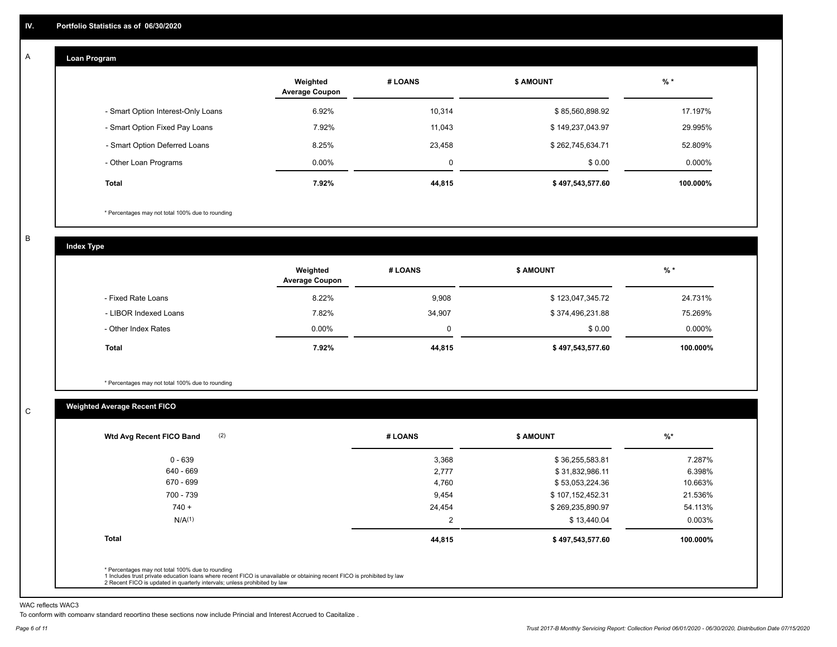#### **Loan Program**  A

|                                    | Weighted<br><b>Average Coupon</b> | # LOANS | <b>\$ AMOUNT</b> | $%$ *    |
|------------------------------------|-----------------------------------|---------|------------------|----------|
| - Smart Option Interest-Only Loans | 6.92%                             | 10.314  | \$85,560,898.92  | 17.197%  |
| - Smart Option Fixed Pay Loans     | 7.92%                             | 11,043  | \$149,237,043.97 | 29.995%  |
| - Smart Option Deferred Loans      | 8.25%                             | 23.458  | \$262,745,634.71 | 52.809%  |
| - Other Loan Programs              | $0.00\%$                          | 0       | \$0.00           | 0.000%   |
| <b>Total</b>                       | 7.92%                             | 44,815  | \$497,543,577.60 | 100.000% |

\* Percentages may not total 100% due to rounding

B

C

**Index Type**

|                       | Weighted<br><b>Average Coupon</b> | # LOANS | <b>\$ AMOUNT</b> | $%$ *    |
|-----------------------|-----------------------------------|---------|------------------|----------|
| - Fixed Rate Loans    | 8.22%                             | 9,908   | \$123,047,345.72 | 24.731%  |
| - LIBOR Indexed Loans | 7.82%                             | 34,907  | \$374,496,231.88 | 75.269%  |
| - Other Index Rates   | $0.00\%$                          | 0       | \$0.00           | 0.000%   |
| Total                 | 7.92%                             | 44,815  | \$497,543,577.60 | 100.000% |

\* Percentages may not total 100% due to rounding

# **Weighted Average Recent FICO**

| (2)<br>Wtd Avg Recent FICO Band | # LOANS        | <b>\$ AMOUNT</b> | $\frac{9}{6}$ * |
|---------------------------------|----------------|------------------|-----------------|
| $0 - 639$                       | 3,368          | \$36,255,583.81  | 7.287%          |
| 640 - 669                       | 2,777          | \$31,832,986.11  | 6.398%          |
| 670 - 699                       | 4,760          | \$53,053,224.36  | 10.663%         |
| 700 - 739                       | 9,454          | \$107,152,452.31 | 21.536%         |
| $740 +$                         | 24,454         | \$269,235,890.97 | 54.113%         |
| N/A <sup>(1)</sup>              | $\overline{2}$ | \$13,440.04      | $0.003\%$       |
| <b>Total</b>                    | 44,815         | \$497,543,577.60 | 100.000%        |

WAC reflects WAC3

To conform with company standard reporting these sections now include Princial and Interest Accrued to Capitalize .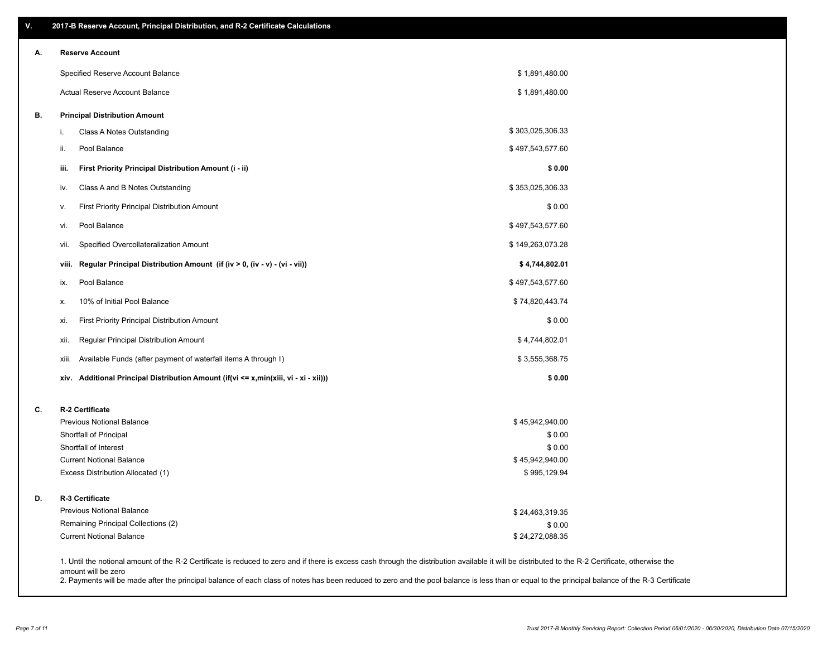| ۷. | 2017-B Reserve Account, Principal Distribution, and R-2 Certificate Calculations                                                                                                                                          |                  |  |
|----|---------------------------------------------------------------------------------------------------------------------------------------------------------------------------------------------------------------------------|------------------|--|
| А. | <b>Reserve Account</b>                                                                                                                                                                                                    |                  |  |
|    | Specified Reserve Account Balance                                                                                                                                                                                         | \$1,891,480.00   |  |
|    | Actual Reserve Account Balance                                                                                                                                                                                            | \$1,891,480.00   |  |
| В. | <b>Principal Distribution Amount</b>                                                                                                                                                                                      |                  |  |
|    | Class A Notes Outstanding<br>i.                                                                                                                                                                                           | \$303,025,306.33 |  |
|    | Pool Balance<br>ii.                                                                                                                                                                                                       | \$497,543,577.60 |  |
|    | First Priority Principal Distribution Amount (i - ii)<br>iii.                                                                                                                                                             | \$0.00           |  |
|    | Class A and B Notes Outstanding<br>iv.                                                                                                                                                                                    | \$353,025,306.33 |  |
|    | First Priority Principal Distribution Amount<br>v.                                                                                                                                                                        | \$0.00           |  |
|    | Pool Balance<br>vi.                                                                                                                                                                                                       | \$497,543,577.60 |  |
|    | Specified Overcollateralization Amount<br>vii.                                                                                                                                                                            | \$149,263,073.28 |  |
|    | Regular Principal Distribution Amount (if (iv > 0, (iv - v) - (vi - vii))<br>viii.                                                                                                                                        | \$4,744,802.01   |  |
|    | Pool Balance<br>ix.                                                                                                                                                                                                       | \$497,543,577.60 |  |
|    | 10% of Initial Pool Balance<br>х.                                                                                                                                                                                         | \$74,820,443.74  |  |
|    | First Priority Principal Distribution Amount<br>xi.                                                                                                                                                                       | \$0.00           |  |
|    | Regular Principal Distribution Amount<br>xii.                                                                                                                                                                             | \$4,744,802.01   |  |
|    | Available Funds (after payment of waterfall items A through I)<br>xiii.                                                                                                                                                   | \$3,555,368.75   |  |
|    | xiv. Additional Principal Distribution Amount (if(vi <= x,min(xiii, vi - xi - xii)))                                                                                                                                      | \$0.00           |  |
| C. | R-2 Certificate                                                                                                                                                                                                           |                  |  |
|    | <b>Previous Notional Balance</b>                                                                                                                                                                                          | \$45,942,940.00  |  |
|    | Shortfall of Principal                                                                                                                                                                                                    | \$0.00           |  |
|    | Shortfall of Interest                                                                                                                                                                                                     | \$0.00           |  |
|    | <b>Current Notional Balance</b>                                                                                                                                                                                           | \$45,942,940.00  |  |
|    | Excess Distribution Allocated (1)                                                                                                                                                                                         | \$995,129.94     |  |
| D. | R-3 Certificate                                                                                                                                                                                                           |                  |  |
|    | <b>Previous Notional Balance</b>                                                                                                                                                                                          | \$24,463,319.35  |  |
|    | Remaining Principal Collections (2)                                                                                                                                                                                       | \$0.00           |  |
|    | <b>Current Notional Balance</b>                                                                                                                                                                                           | \$24,272,088.35  |  |
|    | 1. Until the notional amount of the R-2 Certificate is reduced to zero and if there is excess cash through the distribution available it will be distributed to the R-2 Certificate, otherwise the<br>amount will be zero |                  |  |

2. Payments will be made after the principal balance of each class of notes has been reduced to zero and the pool balance is less than or equal to the principal balance of the R-3 Certificate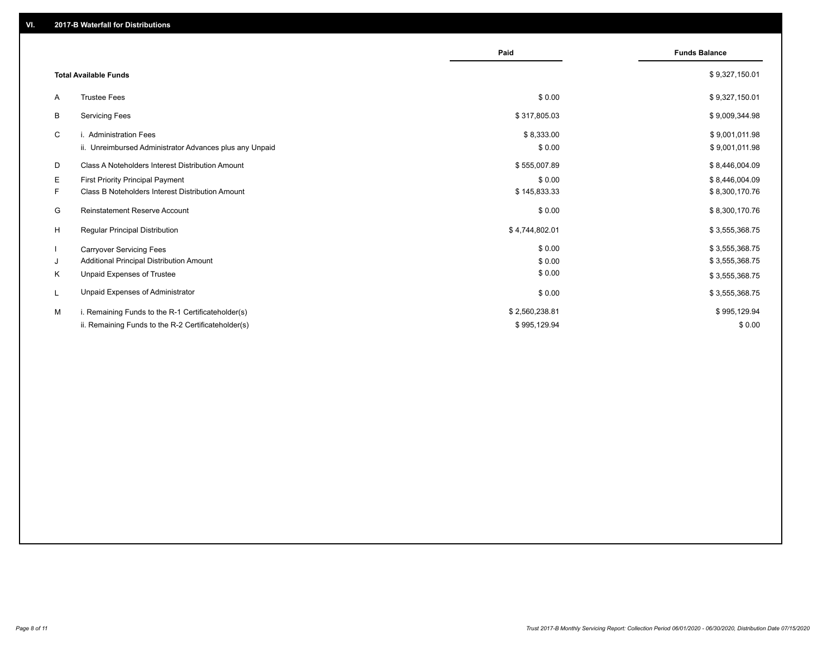|    |                                                         | Paid           | <b>Funds Balance</b> |
|----|---------------------------------------------------------|----------------|----------------------|
|    | <b>Total Available Funds</b>                            |                | \$9,327,150.01       |
| A  | <b>Trustee Fees</b>                                     | \$0.00         | \$9,327,150.01       |
| B  | <b>Servicing Fees</b>                                   | \$317,805.03   | \$9,009,344.98       |
| C  | i. Administration Fees                                  | \$8,333.00     | \$9,001,011.98       |
|    | ii. Unreimbursed Administrator Advances plus any Unpaid | \$0.00         | \$9,001,011.98       |
| D  | Class A Noteholders Interest Distribution Amount        | \$555,007.89   | \$8,446,004.09       |
| Е  | First Priority Principal Payment                        | \$0.00         | \$8,446,004.09       |
| F. | <b>Class B Noteholders Interest Distribution Amount</b> | \$145,833.33   | \$8,300,170.76       |
| G  | <b>Reinstatement Reserve Account</b>                    | \$0.00         | \$8,300,170.76       |
| H  | Regular Principal Distribution                          | \$4,744,802.01 | \$3,555,368.75       |
|    | <b>Carryover Servicing Fees</b>                         | \$0.00         | \$3,555,368.75       |
| J  | Additional Principal Distribution Amount                | \$0.00         | \$3,555,368.75       |
| Κ  | Unpaid Expenses of Trustee                              | \$0.00         | \$3,555,368.75       |
| L  | Unpaid Expenses of Administrator                        | \$0.00         | \$3,555,368.75       |
| м  | i. Remaining Funds to the R-1 Certificateholder(s)      | \$2,560,238.81 | \$995,129.94         |
|    | ii. Remaining Funds to the R-2 Certificateholder(s)     | \$995,129.94   | \$0.00               |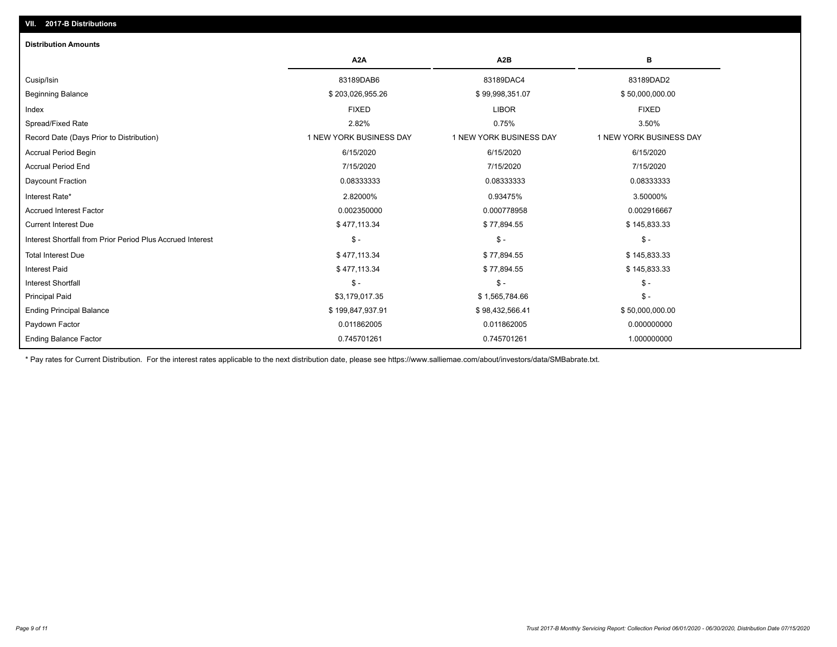| <b>Distribution Amounts</b>                                |                         |                         |                         |
|------------------------------------------------------------|-------------------------|-------------------------|-------------------------|
|                                                            | A <sub>2</sub> A        | A <sub>2</sub> B        | в                       |
| Cusip/Isin                                                 | 83189DAB6               | 83189DAC4               | 83189DAD2               |
| <b>Beginning Balance</b>                                   | \$203,026,955.26        | \$99,998,351.07         | \$50,000,000.00         |
| Index                                                      | <b>FIXED</b>            | <b>LIBOR</b>            | <b>FIXED</b>            |
| Spread/Fixed Rate                                          | 2.82%                   | 0.75%                   | 3.50%                   |
| Record Date (Days Prior to Distribution)                   | 1 NEW YORK BUSINESS DAY | 1 NEW YORK BUSINESS DAY | 1 NEW YORK BUSINESS DAY |
| Accrual Period Begin                                       | 6/15/2020               | 6/15/2020               | 6/15/2020               |
| <b>Accrual Period End</b>                                  | 7/15/2020               | 7/15/2020               | 7/15/2020               |
| Daycount Fraction                                          | 0.08333333              | 0.08333333              | 0.08333333              |
| Interest Rate*                                             | 2.82000%                | 0.93475%                | 3.50000%                |
| <b>Accrued Interest Factor</b>                             | 0.002350000             | 0.000778958             | 0.002916667             |
| <b>Current Interest Due</b>                                | \$477,113.34            | \$77,894.55             | \$145,833.33            |
| Interest Shortfall from Prior Period Plus Accrued Interest | $\mathsf{\$}$ -         | $\mathsf{\$}$ -         | $$ -$                   |
| <b>Total Interest Due</b>                                  | \$477,113.34            | \$77,894.55             | \$145,833.33            |
| <b>Interest Paid</b>                                       | \$477,113.34            | \$77,894.55             | \$145,833.33            |
| <b>Interest Shortfall</b>                                  | $\frac{1}{2}$           | $\mathcal{S}$ -         | $$ -$                   |
| <b>Principal Paid</b>                                      | \$3,179,017.35          | \$1,565,784.66          | $\mathsf{\$}$ -         |
| <b>Ending Principal Balance</b>                            | \$199,847,937.91        | \$98,432,566.41         | \$50,000,000.00         |
| Paydown Factor                                             | 0.011862005             | 0.011862005             | 0.000000000             |
| <b>Ending Balance Factor</b>                               | 0.745701261             | 0.745701261             | 1.000000000             |

\* Pay rates for Current Distribution. For the interest rates applicable to the next distribution date, please see https://www.salliemae.com/about/investors/data/SMBabrate.txt.

**VII. 2017-B Distributions**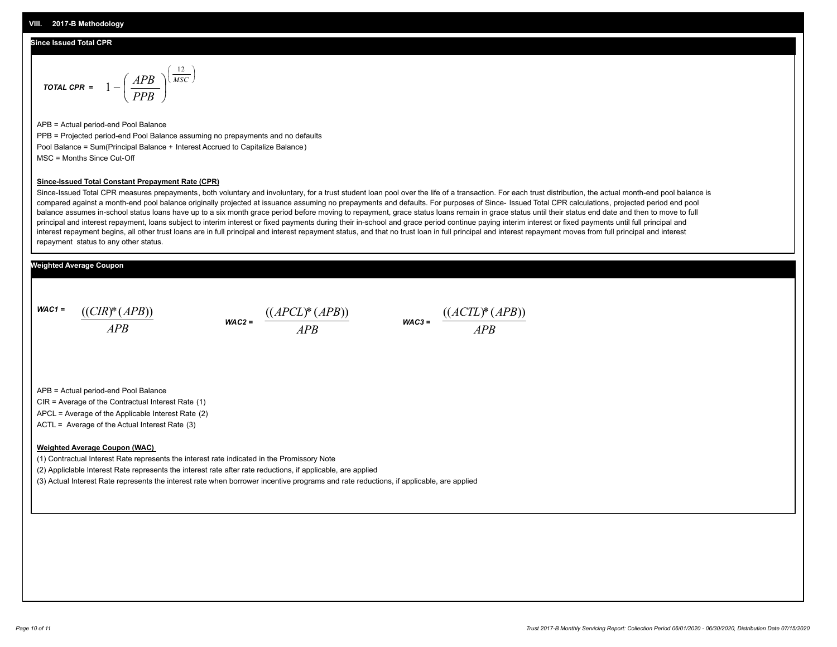#### **Since Issued Total CPR**

$$
\text{total CPR} = 1 - \left(\frac{APB}{PPB}\right)^{\left(\frac{12}{MSC}\right)}
$$

APB = Actual period-end Pool Balance PPB = Projected period-end Pool Balance assuming no prepayments and no defaults Pool Balance = Sum(Principal Balance + Interest Accrued to Capitalize Balance) MSC = Months Since Cut-Off

#### **Since-Issued Total Constant Prepayment Rate (CPR)**

Since-Issued Total CPR measures prepayments, both voluntary and involuntary, for a trust student loan pool over the life of a transaction. For each trust distribution, the actual month-end pool balance is compared against a month-end pool balance originally projected at issuance assuming no prepayments and defaults. For purposes of Since- Issued Total CPR calculations, projected period end pool balance assumes in-school status loans have up to a six month grace period before moving to repayment, grace status loans remain in grace status until their status end date and then to move to full principal and interest repayment, loans subject to interim interest or fixed payments during their in-school and grace period continue paying interim interest or fixed payments until full principal and interest repayment begins, all other trust loans are in full principal and interest repayment status, and that no trust loan in full principal and interest repayment moves from full principal and interest repayment status to any other status.

### **Weighted Average Coupon**

*WAC1 = APB* ((*CIR*)\*(*APB*))

*WAC2 = APB*  $\frac{((APCL)^{*}(APB))}{APB}$  wac<sub>3</sub> =  $\frac{((ACTL)^{*}(A)P}{APB}$ 



APB = Actual period-end Pool Balance

CIR = Average of the Contractual Interest Rate (1)

APCL = Average of the Applicable Interest Rate (2)

ACTL = Average of the Actual Interest Rate (3)

#### **Weighted Average Coupon (WAC)**

(1) Contractual Interest Rate represents the interest rate indicated in the Promissory Note

(2) Appliclable Interest Rate represents the interest rate after rate reductions, if applicable, are applied

(3) Actual Interest Rate represents the interest rate when borrower incentive programs and rate reductions, if applicable, are applied